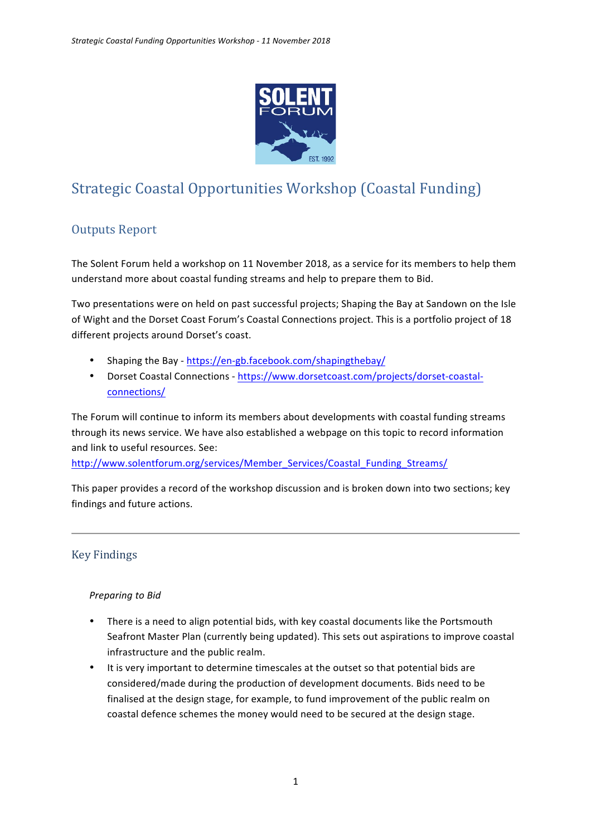

# Strategic Coastal Opportunities Workshop (Coastal Funding)

# Outputs Report

The Solent Forum held a workshop on 11 November 2018, as a service for its members to help them understand more about coastal funding streams and help to prepare them to Bid.

Two presentations were on held on past successful projects; Shaping the Bay at Sandown on the Isle of Wight and the Dorset Coast Forum's Coastal Connections project. This is a portfolio project of 18 different projects around Dorset's coast.

- Shaping the Bay https://en-gb.facebook.com/shapingthebay/
- Dorset Coastal Connections https://www.dorsetcoast.com/projects/dorset-coastalconnections/

The Forum will continue to inform its members about developments with coastal funding streams through its news service. We have also established a webpage on this topic to record information and link to useful resources. See:

http://www.solentforum.org/services/Member\_Services/Coastal\_Funding\_Streams/

This paper provides a record of the workshop discussion and is broken down into two sections; key findings and future actions.

# Key Findings

#### **Preparing to Bid**

- There is a need to align potential bids, with key coastal documents like the Portsmouth Seafront Master Plan (currently being updated). This sets out aspirations to improve coastal infrastructure and the public realm.
- It is very important to determine timescales at the outset so that potential bids are considered/made during the production of development documents. Bids need to be finalised at the design stage, for example, to fund improvement of the public realm on coastal defence schemes the money would need to be secured at the design stage.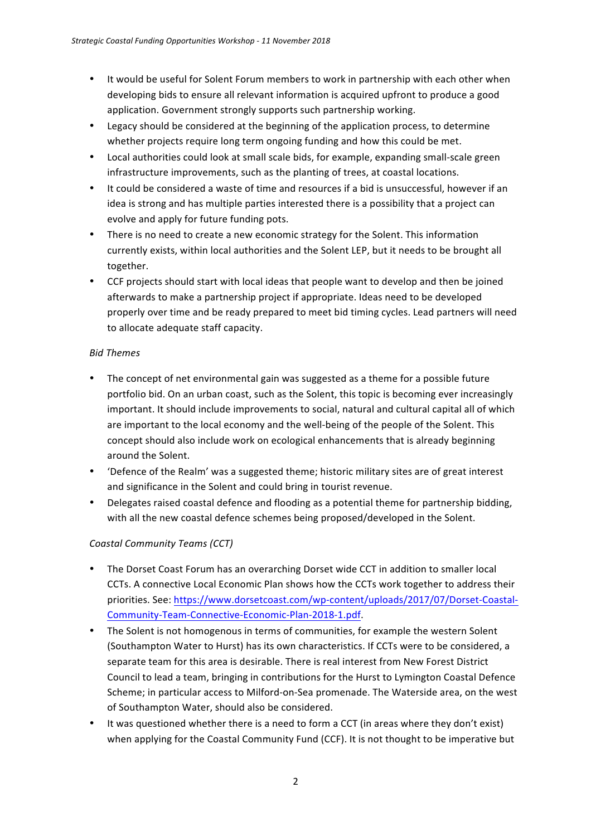- It would be useful for Solent Forum members to work in partnership with each other when developing bids to ensure all relevant information is acquired upfront to produce a good application. Government strongly supports such partnership working.
- Legacy should be considered at the beginning of the application process, to determine whether projects require long term ongoing funding and how this could be met.
- Local authorities could look at small scale bids, for example, expanding small-scale green infrastructure improvements, such as the planting of trees, at coastal locations.
- It could be considered a waste of time and resources if a bid is unsuccessful, however if an idea is strong and has multiple parties interested there is a possibility that a project can evolve and apply for future funding pots.
- There is no need to create a new economic strategy for the Solent. This information currently exists, within local authorities and the Solent LEP, but it needs to be brought all together.
- CCF projects should start with local ideas that people want to develop and then be joined afterwards to make a partnership project if appropriate. Ideas need to be developed properly over time and be ready prepared to meet bid timing cycles. Lead partners will need to allocate adequate staff capacity.

#### *Bid Themes*

- The concept of net environmental gain was suggested as a theme for a possible future portfolio bid. On an urban coast, such as the Solent, this topic is becoming ever increasingly important. It should include improvements to social, natural and cultural capital all of which are important to the local economy and the well-being of the people of the Solent. This concept should also include work on ecological enhancements that is already beginning around the Solent.
- 'Defence of the Realm' was a suggested theme; historic military sites are of great interest and significance in the Solent and could bring in tourist revenue.
- Delegates raised coastal defence and flooding as a potential theme for partnership bidding, with all the new coastal defence schemes being proposed/developed in the Solent.

# *Coastal Community Teams (CCT)*

- The Dorset Coast Forum has an overarching Dorset wide CCT in addition to smaller local CCTs. A connective Local Economic Plan shows how the CCTs work together to address their priorities. See: https://www.dorsetcoast.com/wp-content/uploads/2017/07/Dorset-Coastal-Community-Team-Connective-Economic-Plan-2018-1.pdf.
- The Solent is not homogenous in terms of communities, for example the western Solent (Southampton Water to Hurst) has its own characteristics. If CCTs were to be considered, a separate team for this area is desirable. There is real interest from New Forest District Council to lead a team, bringing in contributions for the Hurst to Lymington Coastal Defence Scheme; in particular access to Milford-on-Sea promenade. The Waterside area, on the west of Southampton Water, should also be considered.
- It was questioned whether there is a need to form a CCT (in areas where they don't exist) when applying for the Coastal Community Fund (CCF). It is not thought to be imperative but